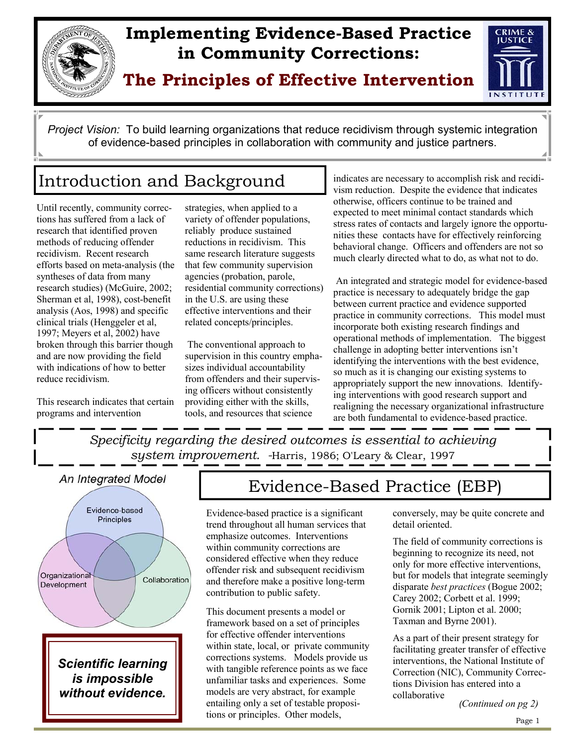

# **Implementing Evidence-Based Practice in Community Corrections:**

**The Principles of Effective Intervention** 



*Project Vision:* To build learning organizations that reduce recidivism through systemic integration of evidence-based principles in collaboration with community and justice partners.

# Introduction and Background

Until recently, community corrections has suffered from a lack of research that identified proven methods of reducing offender recidivism. Recent research efforts based on meta-analysis (the syntheses of data from many research studies) (McGuire, 2002; Sherman et al, 1998), cost-benefit analysis (Aos, 1998) and specific clinical trials (Henggeler et al, 1997; Meyers et al, 2002) have broken through this barrier though and are now providing the field with indications of how to better reduce recidivism.

This research indicates that certain programs and intervention

strategies, when applied to a variety of offender populations, reliably produce sustained reductions in recidivism. This same research literature suggests that few community supervision agencies (probation, parole, residential community corrections) in the U.S. are using these effective interventions and their related concepts/principles.

 The conventional approach to supervision in this country emphasizes individual accountability from offenders and their supervising officers without consistently providing either with the skills, tools, and resources that science

indicates are necessary to accomplish risk and recidivism reduction. Despite the evidence that indicates otherwise, officers continue to be trained and expected to meet minimal contact standards which stress rates of contacts and largely ignore the opportunities these contacts have for effectively reinforcing behavioral change. Officers and offenders are not so much clearly directed what to do, as what not to do.

 An integrated and strategic model for evidence-based practice is necessary to adequately bridge the gap between current practice and evidence supported practice in community corrections. This model must incorporate both existing research findings and operational methods of implementation. The biggest challenge in adopting better interventions isn't identifying the interventions with the best evidence, so much as it is changing our existing systems to appropriately support the new innovations. Identifying interventions with good research support and realigning the necessary organizational infrastructure are both fundamental to evidence-based practice.

*Specificity regarding the desired outcomes is essential to achieving system improvement. -*Harris, 1986; O'Leary & Clear, 1997





*without evidence.*

# Evidence-Based Practice (EBP)

Evidence-based practice is a significant trend throughout all human services that emphasize outcomes. Interventions within community corrections are considered effective when they reduce offender risk and subsequent recidivism and therefore make a positive long-term contribution to public safety.

This document presents a model or framework based on a set of principles for effective offender interventions within state, local, or private community corrections systems. Models provide us with tangible reference points as we face unfamiliar tasks and experiences. Some models are very abstract, for example entailing only a set of testable propositions or principles. Other models,

conversely, may be quite concrete and detail oriented.

The field of community corrections is beginning to recognize its need, not only for more effective interventions, but for models that integrate seemingly disparate *best practices* (Bogue 2002; Carey 2002; Corbett et al. 1999; Gornik 2001; Lipton et al. 2000; Taxman and Byrne 2001).

As a part of their present strategy for facilitating greater transfer of effective interventions, the National Institute of Correction (NIC), Community Corrections Division has entered into a collaborative

*(Continued on pg 2)*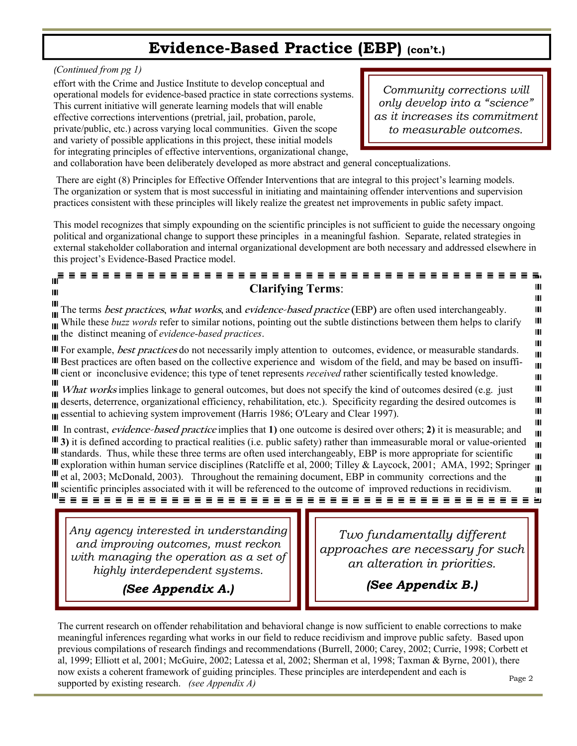### **Evidence-Based Practice (EBP) (con't.)**

*(Continued from pg 1)*

effort with the Crime and Justice Institute to develop conceptual and operational models for evidence-based practice in state corrections systems. This current initiative will generate learning models that will enable effective corrections interventions (pretrial, jail, probation, parole, private/public, etc.) across varying local communities. Given the scope and variety of possible applications in this project, these initial models for integrating principles of effective interventions, organizational change,

*Community corrections will only develop into a "science" as it increases its commitment to measurable outcomes.* 

and collaboration have been deliberately developed as more abstract and general conceptualizations.

 There are eight (8) Principles for Effective Offender Interventions that are integral to this project's learning models. The organization or system that is most successful in initiating and maintaining offender interventions and supervision practices consistent with these principles will likely realize the greatest net improvements in public safety impact.

This model recognizes that simply expounding on the scientific principles is not sufficient to guide the necessary ongoing political and organizational change to support these principles in a meaningful fashion. Separate, related strategies in external stakeholder collaboration and internal organizational development are both necessary and addressed elsewhere in this project's Evidence-Based Practice model.

#### ⊪Ē **Clarifying Terms**: Ш Ш Ш Ш The terms **best practices, what works, and evidence-based practice (EBP)** are often used interchangeably. Ш Ш While these *buzz words* refer to similar notions, pointing out the subtle distinctions between them helps to clarify Ш the distinct meaning of *evidence-based practices*. Ш Ш For example, **best practices** do not necessarily imply attention to outcomes, evidence, or measurable standards. Ш Best practices are often based on the collective experience and wisdom of the field, and may be based on insuffi-Ш III cient or inconclusive evidence; this type of tenet represents *received* rather scientifically tested knowledge. Ш Ш What works implies linkage to general outcomes, but does not specify the kind of outcomes desired (e.g. just Ш Ш III deserts, deterrence, organizational efficiency, rehabilitation, etc.). Specificity regarding the desired outcomes is Ш **Example 3** essential to achieving system improvement (Harris 1986; O'Leary and Clear 1997). Ш Ш In contrast, **evidence-based practice** implies that **1)** one outcome is desired over others; **2)** it is measurable; and Ш **3)** it is defined according to practical realities (i.e. public safety) rather than immeasurable moral or value-oriented Ш III standards. Thus, while these three terms are often used interchangeably, EBP is more appropriate for scientific Ш III exploration within human service disciplines (Ratcliffe et al, 2000; Tilley & Laycock, 2001; AMA, 1992; Springer  $_{\text{III}}$ III et al, 2003; McDonald, 2003). Throughout the remaining document, EBP in community corrections and the Ш scientific principles associated with it will be referenced to the outcome of improved reductions in recidivism. Ш

*Any agency interested in understanding and improving outcomes, must reckon with managing the operation as a set of highly interdependent systems.* 

*Two fundamentally different approaches are necessary for such an alteration in priorities.* 

*(See Appendix A.)* 

*(See Appendix B.)* 

The current research on offender rehabilitation and behavioral change is now sufficient to enable corrections to make meaningful inferences regarding what works in our field to reduce recidivism and improve public safety. Based upon previous compilations of research findings and recommendations (Burrell, 2000; Carey, 2002; Currie, 1998; Corbett et al, 1999; Elliott et al, 2001; McGuire, 2002; Latessa et al, 2002; Sherman et al, 1998; Taxman & Byrne, 2001), there now exists a coherent framework of guiding principles. These principles are interdependent and each is supported by existing research. *(see Appendix A)* Page 2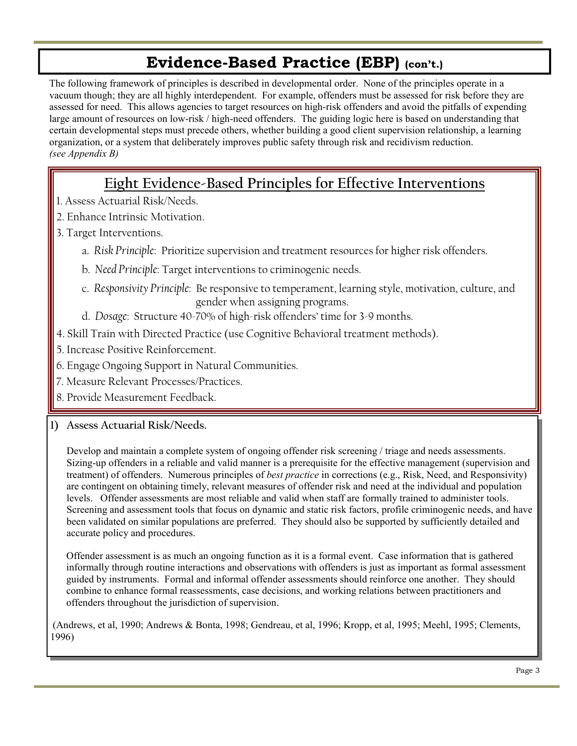# **Evidence-Based Practice (EBP) (con't.)**

The following framework of principles is described in developmental order. None of the principles operate in a vacuum though; they are all highly interdependent. For example, offenders must be assessed for risk before they are assessed for need. This allows agencies to target resources on high-risk offenders and avoid the pitfalls of expending large amount of resources on low-risk / high-need offenders. The guiding logic here is based on understanding that certain developmental steps must precede others, whether building a good client supervision relationship, a learning organization, or a system that deliberately improves public safety through risk and recidivism reduction. *(see Appendix B)*

### **Eight Evidence-Based Principles for Effective Interventions**

- 1. Assess Actuarial Risk/Needs.
- 2. Enhance Intrinsic Motivation.
- 3. Target Interventions.
	- a. *Risk Principle*: Prioritize supervision and treatment resources for higher risk offenders.
	- b. *Need Principle*: Target interventions to criminogenic needs.
	- c. *Responsivity Principle*: Be responsive to temperament, learning style, motivation, culture, and gender when assigning programs.
	- d. *Dosage*: Structure 40-70% of high-risk offenders' time for 3-9 months.
- 4. Skill Train with Directed Practice (use Cognitive Behavioral treatment methods).
- 5. Increase Positive Reinforcement.
- 6. Engage Ongoing Support in Natural Communities.
- 7. Measure Relevant Processes/Practices.
- 8. Provide Measurement Feedback.

### **1) Assess Actuarial Risk/Needs.**

Develop and maintain a complete system of ongoing offender risk screening / triage and needs assessments. Sizing-up offenders in a reliable and valid manner is a prerequisite for the effective management (supervision and treatment) of offenders. Numerous principles of *best practice* in corrections (e.g., Risk, Need, and Responsivity) are contingent on obtaining timely, relevant measures of offender risk and need at the individual and population levels. Offender assessments are most reliable and valid when staff are formally trained to administer tools. Screening and assessment tools that focus on dynamic and static risk factors, profile criminogenic needs, and have been validated on similar populations are preferred. They should also be supported by sufficiently detailed and accurate policy and procedures.

 Offender assessment is as much an ongoing function as it is a formal event. Case information that is gathered informally through routine interactions and observations with offenders is just as important as formal assessment guided by instruments. Formal and informal offender assessments should reinforce one another. They should combine to enhance formal reassessments, case decisions, and working relations between practitioners and offenders throughout the jurisdiction of supervision.

 (Andrews, et al, 1990; Andrews & Bonta, 1998; Gendreau, et al, 1996; Kropp, et al, 1995; Meehl, 1995; Clements, 1996)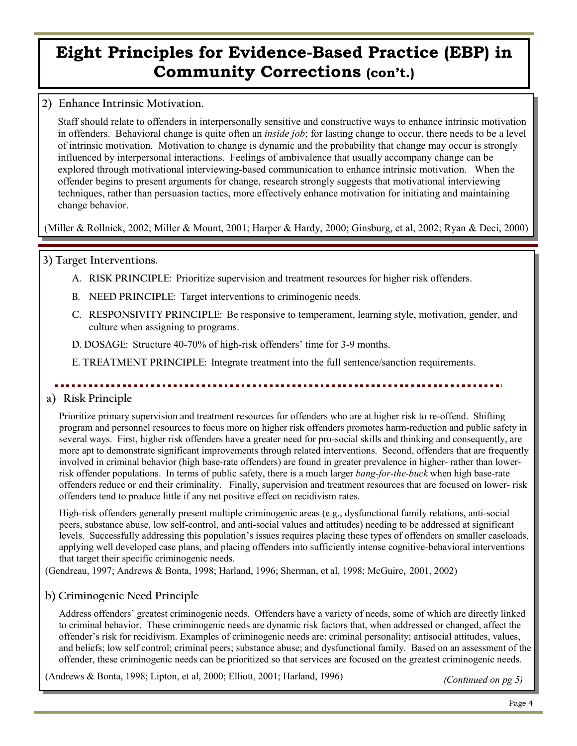#### **2) Enhance Intrinsic Motivation.**

 Staff should relate to offenders in interpersonally sensitive and constructive ways to enhance intrinsic motivation in offenders. Behavioral change is quite often an *inside job*; for lasting change to occur, there needs to be a level of intrinsic motivation. Motivation to change is dynamic and the probability that change may occur is strongly influenced by interpersonal interactions. Feelings of ambivalence that usually accompany change can be explored through motivational interviewing-based communication to enhance intrinsic motivation. When the offender begins to present arguments for change, research strongly suggests that motivational interviewing techniques, rather than persuasion tactics, more effectively enhance motivation for initiating and maintaining change behavior.

(Miller & Rollnick, 2002; Miller & Mount, 2001; Harper & Hardy, 2000; Ginsburg, et al, 2002; Ryan & Deci, 2000)

#### **3) Target Interventions.**

- **A. RISK PRINCIPLE:** Prioritize supervision and treatment resources for higher risk offenders.
- **B. NEED PRINCIPLE:** Target interventions to criminogenic needs.
- **C. RESPONSIVITY PRINCIPLE:** Be responsive to temperament, learning style, motivation, gender, and culture when assigning to programs.

**D. DOSAGE:** Structure 40-70% of high-risk offenders' time for 3-9 months.

**E. TREATMENT PRINCIPLE:** Integrate treatment into the full sentence/sanction requirements.

### **a) Risk Principle**

Prioritize primary supervision and treatment resources for offenders who are at higher risk to re-offend. Shifting program and personnel resources to focus more on higher risk offenders promotes harm-reduction and public safety in several ways. First, higher risk offenders have a greater need for pro-social skills and thinking and consequently, are more apt to demonstrate significant improvements through related interventions. Second, offenders that are frequently involved in criminal behavior (high base-rate offenders) are found in greater prevalence in higher- rather than lowerrisk offender populations. In terms of public safety, there is a much larger *bang-for-the-buck* when high base-rate offenders reduce or end their criminality. Finally, supervision and treatment resources that are focused on lower- risk offenders tend to produce little if any net positive effect on recidivism rates.

 High-risk offenders generally present multiple criminogenic areas (e.g., dysfunctional family relations, anti-social peers, substance abuse, low self-control, and anti-social values and attitudes) needing to be addressed at significant levels. Successfully addressing this population's issues requires placing these types of offenders on smaller caseloads, applying well developed case plans, and placing offenders into sufficiently intense cognitive-behavioral interventions that target their specific criminogenic needs.

(Gendreau, 1997; Andrews & Bonta, 1998; Harland, 1996; Sherman, et al, 1998; McGuire, 2001, 2002)

### **b) Criminogenic Need Principle**

Address offenders' greatest criminogenic needs. Offenders have a variety of needs, some of which are directly linked to criminal behavior. These criminogenic needs are dynamic risk factors that, when addressed or changed, affect the offender's risk for recidivism. Examples of criminogenic needs are: criminal personality; antisocial attitudes, values, and beliefs; low self control; criminal peers; substance abuse; and dysfunctional family. Based on an assessment of the offender, these criminogenic needs can be prioritized so that services are focused on the greatest criminogenic needs.

(Andrews & Bonta, 1998; Lipton, et al, 2000; Elliott, 2001; Harland, 1996)

*(Continued on pg 5)*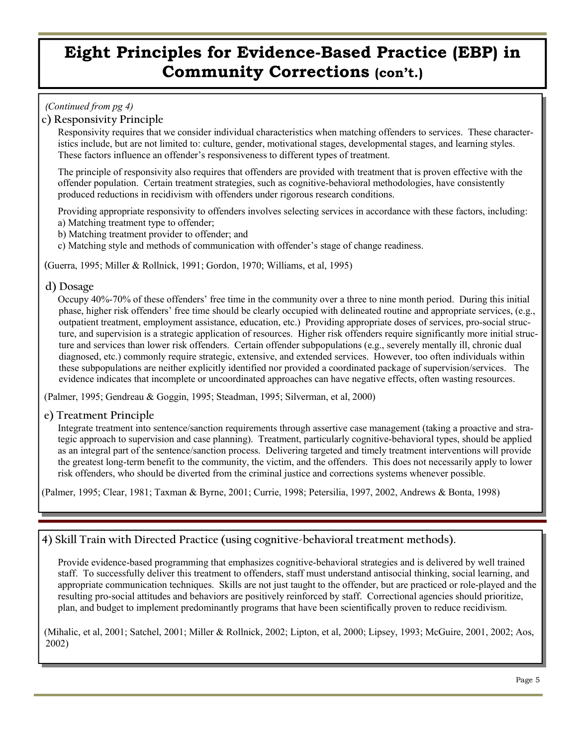#### *(Continued from pg 4)*

#### **c) Responsivity Principle**

Responsivity requires that we consider individual characteristics when matching offenders to services. These characteristics include, but are not limited to: culture, gender, motivational stages, developmental stages, and learning styles. These factors influence an offender's responsiveness to different types of treatment.

 The principle of responsivity also requires that offenders are provided with treatment that is proven effective with the offender population. Certain treatment strategies, such as cognitive-behavioral methodologies, have consistently produced reductions in recidivism with offenders under rigorous research conditions.

 Providing appropriate responsivity to offenders involves selecting services in accordance with these factors, including: a) Matching treatment type to offender;

- b) Matching treatment provider to offender; and
- c) Matching style and methods of communication with offender's stage of change readiness.

(Guerra, 1995; Miller & Rollnick, 1991; Gordon, 1970; Williams, et al, 1995)

#### **d) Dosage**

 Occupy 40%-70% of these offenders' free time in the community over a three to nine month period. During this initial phase, higher risk offenders' free time should be clearly occupied with delineated routine and appropriate services, (e.g., outpatient treatment, employment assistance, education, etc.) Providing appropriate doses of services, pro-social structure, and supervision is a strategic application of resources. Higher risk offenders require significantly more initial structure and services than lower risk offenders. Certain offender subpopulations (e.g., severely mentally ill, chronic dual diagnosed, etc.) commonly require strategic, extensive, and extended services. However, too often individuals within these subpopulations are neither explicitly identified nor provided a coordinated package of supervision/services. The evidence indicates that incomplete or uncoordinated approaches can have negative effects, often wasting resources.

(Palmer, 1995; Gendreau & Goggin, 1995; Steadman, 1995; Silverman, et al, 2000)

#### **e) Treatment Principle**

 Integrate treatment into sentence/sanction requirements through assertive case management (taking a proactive and strategic approach to supervision and case planning). Treatment, particularly cognitive-behavioral types, should be applied as an integral part of the sentence/sanction process. Delivering targeted and timely treatment interventions will provide the greatest long-term benefit to the community, the victim, and the offenders. This does not necessarily apply to lower risk offenders, who should be diverted from the criminal justice and corrections systems whenever possible.

(Palmer, 1995; Clear, 1981; Taxman & Byrne, 2001; Currie, 1998; Petersilia, 1997, 2002, Andrews & Bonta, 1998)

### **4) Skill Train with Directed Practice (using cognitive-behavioral treatment methods).**

 Provide evidence-based programming that emphasizes cognitive-behavioral strategies and is delivered by well trained staff. To successfully deliver this treatment to offenders, staff must understand antisocial thinking, social learning, and appropriate communication techniques. Skills are not just taught to the offender, but are practiced or role-played and the resulting pro-social attitudes and behaviors are positively reinforced by staff. Correctional agencies should prioritize, plan, and budget to implement predominantly programs that have been scientifically proven to reduce recidivism.

(Mihalic, et al, 2001; Satchel, 2001; Miller & Rollnick, 2002; Lipton, et al, 2000; Lipsey, 1993; McGuire, 2001, 2002; Aos, 2002)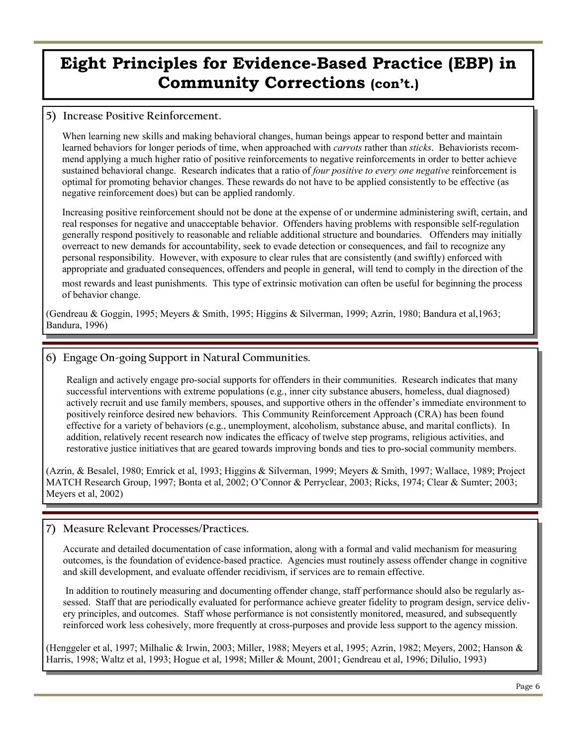#### **5) Increase Positive Reinforcement.**

When learning new skills and making behavioral changes, human beings appear to respond better and maintain learned behaviors for longer periods of time, when approached with *carrots* rather than *sticks*. Behaviorists recommend applying a much higher ratio of positive reinforcements to negative reinforcements in order to better achieve sustained behavioral change. Research indicates that a ratio of *four positive to every one negative* reinforcement is optimal for promoting behavior changes. These rewards do not have to be applied consistently to be effective (as negative reinforcement does) but can be applied randomly.

 Increasing positive reinforcement should not be done at the expense of or undermine administering swift, certain, and real responses for negative and unacceptable behavior. Offenders having problems with responsible self-regulation generally respond positively to reasonable and reliable additional structure and boundaries. Offenders may initially overreact to new demands for accountability, seek to evade detection or consequences, and fail to recognize any personal responsibility. However, with exposure to clear rules that are consistently (and swiftly) enforced with appropriate and graduated consequences, offenders and people in general, will tend to comply in the direction of the most rewards and least punishments. This type of extrinsic motivation can often be useful for beginning the process of behavior change.

(Gendreau & Goggin, 1995; Meyers & Smith, 1995; Higgins & Silverman, 1999; Azrin, 1980; Bandura et al,1963; Bandura, 1996)

#### **6) Engage On-going Support in Natural Communities.**

 Realign and actively engage pro-social supports for offenders in their communities. Research indicates that many successful interventions with extreme populations (e.g., inner city substance abusers, homeless, dual diagnosed) actively recruit and use family members, spouses, and supportive others in the offender's immediate environment to positively reinforce desired new behaviors. This Community Reinforcement Approach (CRA) has been found effective for a variety of behaviors (e.g., unemployment, alcoholism, substance abuse, and marital conflicts). In addition, relatively recent research now indicates the efficacy of twelve step programs, religious activities, and restorative justice initiatives that are geared towards improving bonds and ties to pro-social community members.

(Azrin, & Besalel, 1980; Emrick et al, 1993; Higgins & Silverman, 1999; Meyers & Smith, 1997; Wallace, 1989; Project MATCH Research Group, 1997; Bonta et al, 2002; O'Connor & Perryclear, 2003; Ricks, 1974; Clear & Sumter; 2003; Meyers et al, 2002)

#### **7) Measure Relevant Processes/Practices.**

Accurate and detailed documentation of case information, along with a formal and valid mechanism for measuring outcomes, is the foundation of evidence-based practice. Agencies must routinely assess offender change in cognitive and skill development, and evaluate offender recidivism, if services are to remain effective.

 In addition to routinely measuring and documenting offender change, staff performance should also be regularly assessed. Staff that are periodically evaluated for performance achieve greater fidelity to program design, service delivery principles, and outcomes. Staff whose performance is not consistently monitored, measured, and subsequently reinforced work less cohesively, more frequently at cross-purposes and provide less support to the agency mission.

(Henggeler et al, 1997; Milhalic & Irwin, 2003; Miller, 1988; Meyers et al, 1995; Azrin, 1982; Meyers, 2002; Hanson & Harris, 1998; Waltz et al, 1993; Hogue et al, 1998; Miller & Mount, 2001; Gendreau et al, 1996; Dilulio, 1993)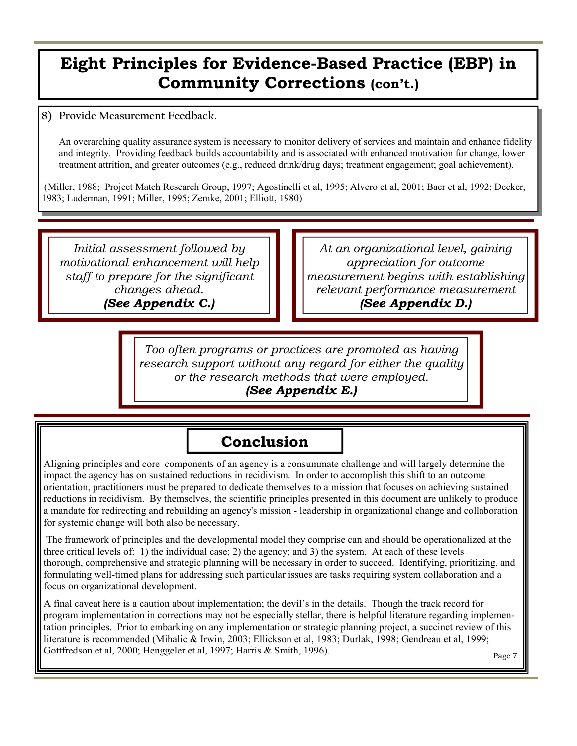### **8) Provide Measurement Feedback.**

An overarching quality assurance system is necessary to monitor delivery of services and maintain and enhance fidelity and integrity. Providing feedback builds accountability and is associated with enhanced motivation for change, lower treatment attrition, and greater outcomes (e.g., reduced drink/drug days; treatment engagement; goal achievement).

 (Miller, 1988; Project Match Research Group, 1997; Agostinelli et al, 1995; Alvero et al, 2001; Baer et al, 1992; Decker, 1983; Luderman, 1991; Miller, 1995; Zemke, 2001; Elliott, 1980)

*Initial assessment followed by motivational enhancement will help staff to prepare for the significant changes ahead. (See Appendix C.)* 

*At an organizational level, gaining appreciation for outcome measurement begins with establishing relevant performance measurement (See Appendix D.)* 

*Too often programs or practices are promoted as having research support without any regard for either the quality or the research methods that were employed. (See Appendix E.)* 

### **Conclusion**

Aligning principles and core components of an agency is a consummate challenge and will largely determine the impact the agency has on sustained reductions in recidivism. In order to accomplish this shift to an outcome orientation, practitioners must be prepared to dedicate themselves to a mission that focuses on achieving sustained reductions in recidivism. By themselves, the scientific principles presented in this document are unlikely to produce a mandate for redirecting and rebuilding an agency's mission - leadership in organizational change and collaboration for systemic change will both also be necessary.

 The framework of principles and the developmental model they comprise can and should be operationalized at the three critical levels of: 1) the individual case; 2) the agency; and 3) the system. At each of these levels thorough, comprehensive and strategic planning will be necessary in order to succeed. Identifying, prioritizing, and formulating well-timed plans for addressing such particular issues are tasks requiring system collaboration and a focus on organizational development.

A final caveat here is a caution about implementation; the devil's in the details. Though the track record for program implementation in corrections may not be especially stellar, there is helpful literature regarding implementation principles. Prior to embarking on any implementation or strategic planning project, a succinct review of this literature is recommended (Mihalic & Irwin, 2003; Ellickson et al, 1983; Durlak, 1998; Gendreau et al, 1999; Gottfredson et al, 2000; Henggeler et al, 1997; Harris & Smith, 1996).

Page 7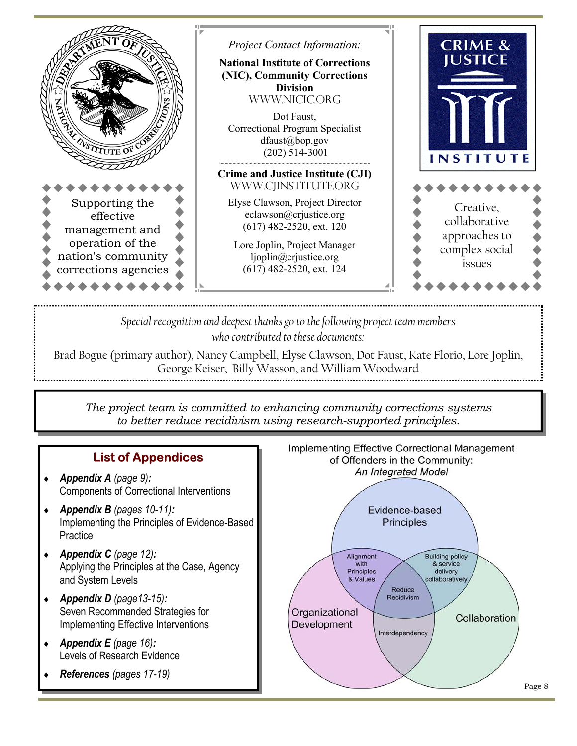

*Special recognition and deepest thanks go to the following project team members who contributed to these documents:* 

Brad Bogue (primary author), Nancy Campbell, Elyse Clawson, Dot Faust, Kate Florio, Lore Joplin, George Keiser, Billy Wasson, and William Woodward

*The project team is committed to enhancing community corrections systems to better reduce recidivism using research-supported principles.* 

### **List of Appendices**

- ♦ *Appendix A (page 9):*  Components of Correctional Interventions
- ♦ *Appendix B (pages 10-11):*  Implementing the Principles of Evidence-Based **Practice**
- ♦ *Appendix C (page 12):*  Applying the Principles at the Case, Agency and System Levels
- ♦ *Appendix D (page13-15):*  Seven Recommended Strategies for Implementing Effective Interventions
- ♦ *Appendix E (page 16):*  Levels of Research Evidence
- ♦ *References (pages 17-19)*

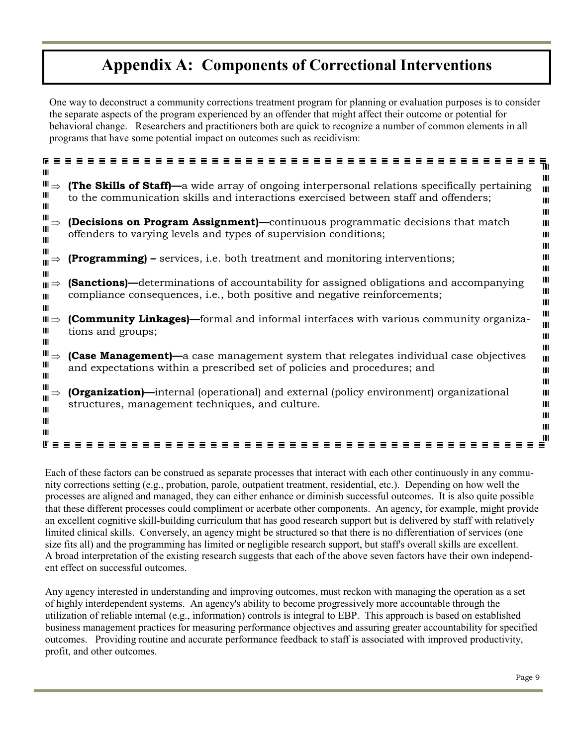# **Appendix A: Components of Correctional Interventions**

One way to deconstruct a community corrections treatment program for planning or evaluation purposes is to consider the separate aspects of the program experienced by an offender that might affect their outcome or potential for behavioral change. Researchers and practitioners both are quick to recognize a number of common elements in all programs that have some potential impact on outcomes such as recidivism:

|                                         | ٦ı                                                                                                                                                                                                               |
|-----------------------------------------|------------------------------------------------------------------------------------------------------------------------------------------------------------------------------------------------------------------|
| Ш<br>$\blacksquare$<br>Ш<br>Ш           | Ш<br><b>(The Skills of Staff)—</b> a wide array of ongoing interpersonal relations specifically pertaining<br>Ш<br>to the communication skills and interactions exercised between staff and offenders;<br>Ш<br>Ш |
| Ш                                       | <b>(Decisions on Program Assignment)</b> —continuous programmatic decisions that match<br>Ш<br>offenders to varying levels and types of supervision conditions;<br>Ш<br>Ш                                        |
| $\mathbf{m} \Rightarrow$                | <b>(Programming)</b> – services, i.e. both treatment and monitoring interventions;<br>Ш                                                                                                                          |
| Ш<br>$\mathbf{H} \Rightarrow$<br>Ш<br>Ш | Ш<br>Ш<br><b>(Sanctions)</b> —determinations of accountability for assigned obligations and accompanying<br>Ш<br>compliance consequences, <i>i.e.</i> , both positive and negative reinforcements;<br>Ш          |
| $\blacksquare$<br>Ш<br>Ш                | Ш<br><b>(Community Linkages)</b> —formal and informal interfaces with various community organiza-<br>Ш<br>tions and groups;<br>Ш                                                                                 |
| $\blacksquare \Rightarrow$<br>Ш<br>Ш    | Ш<br><b>(Case Management)—</b> a case management system that relegates individual case objectives<br>Ш<br>and expectations within a prescribed set of policies and procedures; and<br>Ш<br>Ш                     |
| ш<br>Ш<br>Ш                             | <b>[Organization]</b> —internal (operational) and external (policy environment) organizational<br>Ш<br>structures, management techniques, and culture.<br>Ш                                                      |
| $\mathbf{m}$<br>Ш                       |                                                                                                                                                                                                                  |

Each of these factors can be construed as separate processes that interact with each other continuously in any community corrections setting (e.g., probation, parole, outpatient treatment, residential, etc.). Depending on how well the processes are aligned and managed, they can either enhance or diminish successful outcomes. It is also quite possible that these different processes could compliment or acerbate other components. An agency, for example, might provide an excellent cognitive skill-building curriculum that has good research support but is delivered by staff with relatively limited clinical skills. Conversely, an agency might be structured so that there is no differentiation of services (one size fits all) and the programming has limited or negligible research support, but staff's overall skills are excellent. A broad interpretation of the existing research suggests that each of the above seven factors have their own independent effect on successful outcomes.

Any agency interested in understanding and improving outcomes, must reckon with managing the operation as a set of highly interdependent systems. An agency's ability to become progressively more accountable through the utilization of reliable internal (e.g., information) controls is integral to EBP. This approach is based on established business management practices for measuring performance objectives and assuring greater accountability for specified outcomes. Providing routine and accurate performance feedback to staff is associated with improved productivity, profit, and other outcomes.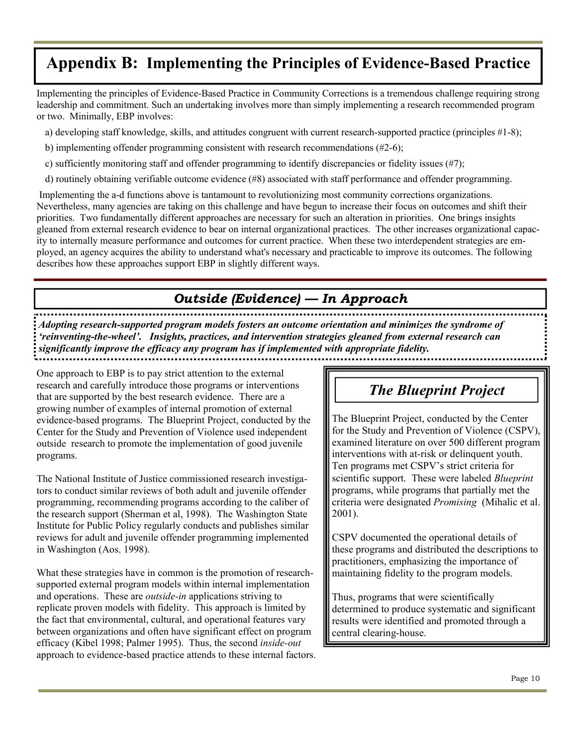# **Appendix B: Implementing the Principles of Evidence-Based Practice**

Implementing the principles of Evidence-Based Practice in Community Corrections is a tremendous challenge requiring strong leadership and commitment. Such an undertaking involves more than simply implementing a research recommended program or two. Minimally, EBP involves:

a) developing staff knowledge, skills, and attitudes congruent with current research-supported practice (principles #1-8);

- b) implementing offender programming consistent with research recommendations (#2-6);
- c) sufficiently monitoring staff and offender programming to identify discrepancies or fidelity issues (#7);
- d) routinely obtaining verifiable outcome evidence (#8) associated with staff performance and offender programming.

 Implementing the a-d functions above is tantamount to revolutionizing most community corrections organizations. Nevertheless, many agencies are taking on this challenge and have begun to increase their focus on outcomes and shift their priorities. Two fundamentally different approaches are necessary for such an alteration in priorities. One brings insights gleaned from external research evidence to bear on internal organizational practices. The other increases organizational capacity to internally measure performance and outcomes for current practice. When these two interdependent strategies are employed, an agency acquires the ability to understand what's necessary and practicable to improve its outcomes. The following describes how these approaches support EBP in slightly different ways.

### *Outside (Evidence) — In Approach*

*Adopting research-supported program models fosters an outcome orientation and minimizes the syndrome of 'reinventing-the-wheel'. Insights, practices, and intervention strategies gleaned from external research can significantly improve the efficacy any program has if implemented with appropriate fidelity.* 

One approach to EBP is to pay strict attention to the external research and carefully introduce those programs or interventions that are supported by the best research evidence. There are a growing number of examples of internal promotion of external evidence-based programs. The Blueprint Project, conducted by the Center for the Study and Prevention of Violence used independent outside research to promote the implementation of good juvenile programs.

The National Institute of Justice commissioned research investigators to conduct similar reviews of both adult and juvenile offender programming, recommending programs according to the caliber of the research support (Sherman et al, 1998). The Washington State Institute for Public Policy regularly conducts and publishes similar reviews for adult and juvenile offender programming implemented in Washington (Aos, 1998).

What these strategies have in common is the promotion of researchsupported external program models within internal implementation and operations. These are *outside-in* applications striving to replicate proven models with fidelity. This approach is limited by the fact that environmental, cultural, and operational features vary between organizations and often have significant effect on program efficacy (Kibel 1998; Palmer 1995). Thus, the second *inside-out* approach to evidence-based practice attends to these internal factors.

# *The Blueprint Project*

The Blueprint Project, conducted by the Center for the Study and Prevention of Violence (CSPV), examined literature on over 500 different program interventions with at-risk or delinquent youth. Ten programs met CSPV's strict criteria for scientific support. These were labeled *Blueprint* programs, while programs that partially met the criteria were designated *Promising* (Mihalic et al. 2001).

CSPV documented the operational details of these programs and distributed the descriptions to practitioners, emphasizing the importance of maintaining fidelity to the program models.

Thus, programs that were scientifically determined to produce systematic and significant results were identified and promoted through a central clearing-house.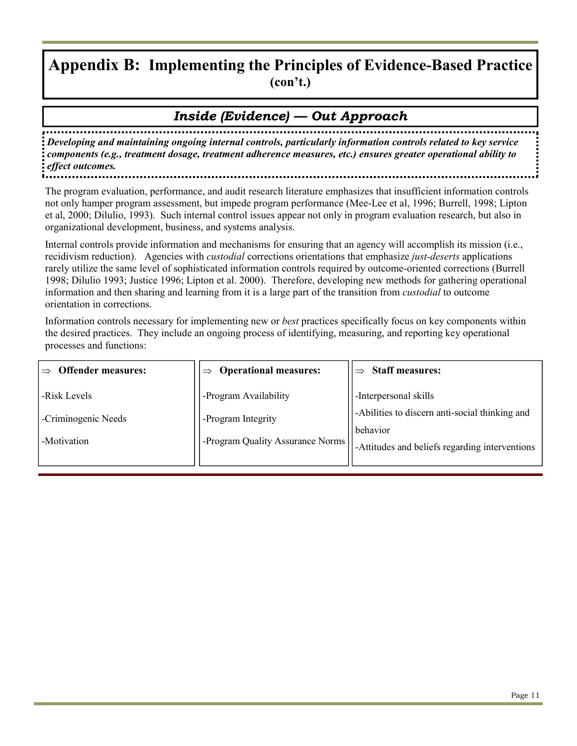### **Appendix B: Implementing the Principles of Evidence-Based Practice (con't.)**

### *Inside (Evidence) — Out Approach*

*Developing and maintaining ongoing internal controls, particularly information controls related to key service components (e.g., treatment dosage, treatment adherence measures, etc.) ensures greater operational ability to effect outcomes.* 

The program evaluation, performance, and audit research literature emphasizes that insufficient information controls not only hamper program assessment, but impede program performance (Mee-Lee et al, 1996; Burrell, 1998; Lipton et al, 2000; Dilulio, 1993). Such internal control issues appear not only in program evaluation research, but also in organizational development, business, and systems analysis.

Internal controls provide information and mechanisms for ensuring that an agency will accomplish its mission (i.e., recidivism reduction). Agencies with *custodial* corrections orientations that emphasize *just-deserts* applications rarely utilize the same level of sophisticated information controls required by outcome-oriented corrections (Burrell 1998; Dilulio 1993; Justice 1996; Lipton et al. 2000). Therefore, developing new methods for gathering operational information and then sharing and learning from it is a large part of the transition from *custodial* to outcome orientation in corrections.

Information controls necessary for implementing new or *best* practices specifically focus on key components within the desired practices. They include an ongoing process of identifying, measuring, and reporting key operational processes and functions:

| <b>Offender measures:</b>                          | <b>Operational measures:</b><br>$\Rightarrow$                                   | <b>Staff measures:</b>                                                                                                                |
|----------------------------------------------------|---------------------------------------------------------------------------------|---------------------------------------------------------------------------------------------------------------------------------------|
| -Risk Levels<br>-Criminogenic Needs<br>-Motivation | -Program Availability<br>-Program Integrity<br>-Program Quality Assurance Norms | -Interpersonal skills<br>-Abilities to discern anti-social thinking and<br>behavior<br>-Attitudes and beliefs regarding interventions |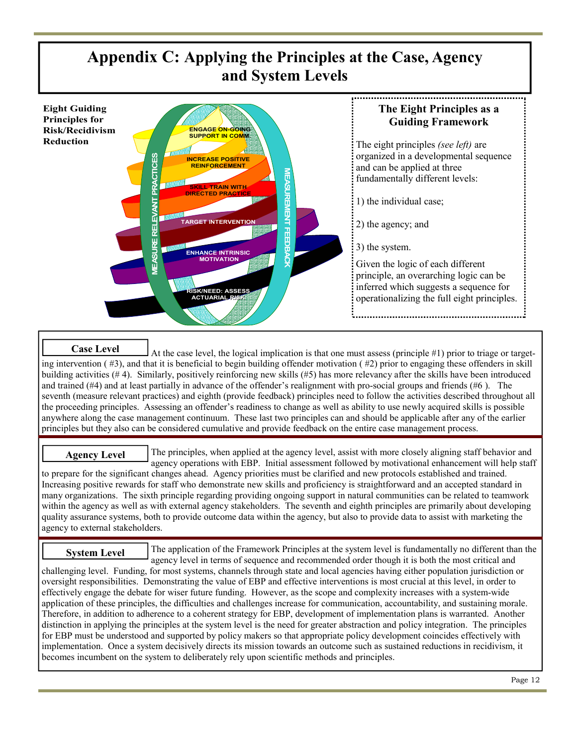# **Appendix C: Applying the Principles at the Case, Agency and System Levels**



### **Case Level**

At the case level, the logical implication is that one must assess (principle #1) prior to triage or targeting intervention (#3), and that it is beneficial to begin building offender motivation (#2) prior to engaging these offenders in skill building activities (# 4). Similarly, positively reinforcing new skills (#5) has more relevancy after the skills have been introduced and trained (#4) and at least partially in advance of the offender's realignment with pro-social groups and friends (#6 ). The seventh (measure relevant practices) and eighth (provide feedback) principles need to follow the activities described throughout all the proceeding principles. Assessing an offender's readiness to change as well as ability to use newly acquired skills is possible anywhere along the case management continuum. These last two principles can and should be applicable after any of the earlier principles but they also can be considered cumulative and provide feedback on the entire case management process.

#### **Agency Level**

The principles, when applied at the agency level, assist with more closely aligning staff behavior and agency operations with EBP. Initial assessment followed by motivational enhancement will help staff to prepare for the significant changes ahead. Agency priorities must be clarified and new protocols established and trained. Increasing positive rewards for staff who demonstrate new skills and proficiency is straightforward and an accepted standard in many organizations. The sixth principle regarding providing ongoing support in natural communities can be related to teamwork

within the agency as well as with external agency stakeholders. The seventh and eighth principles are primarily about developing quality assurance systems, both to provide outcome data within the agency, but also to provide data to assist with marketing the agency to external stakeholders.

The application of the Framework Principles at the system level is fundamentally no different than the agency level in terms of sequence and recommended order though it is both the most critical and challenging level. Funding, for most systems, channels through state and local agencies having either population jurisdiction or oversight responsibilities. Demonstrating the value of EBP and effective interventions is most crucial at this level, in order to effectively engage the debate for wiser future funding. However, as the scope and complexity increases with a system-wide application of these principles, the difficulties and challenges increase for communication, accountability, and sustaining morale. Therefore, in addition to adherence to a coherent strategy for EBP, development of implementation plans is warranted. Another distinction in applying the principles at the system level is the need for greater abstraction and policy integration. The principles for EBP must be understood and supported by policy makers so that appropriate policy development coincides effectively with implementation. Once a system decisively directs its mission towards an outcome such as sustained reductions in recidivism, it becomes incumbent on the system to deliberately rely upon scientific methods and principles. **System Level**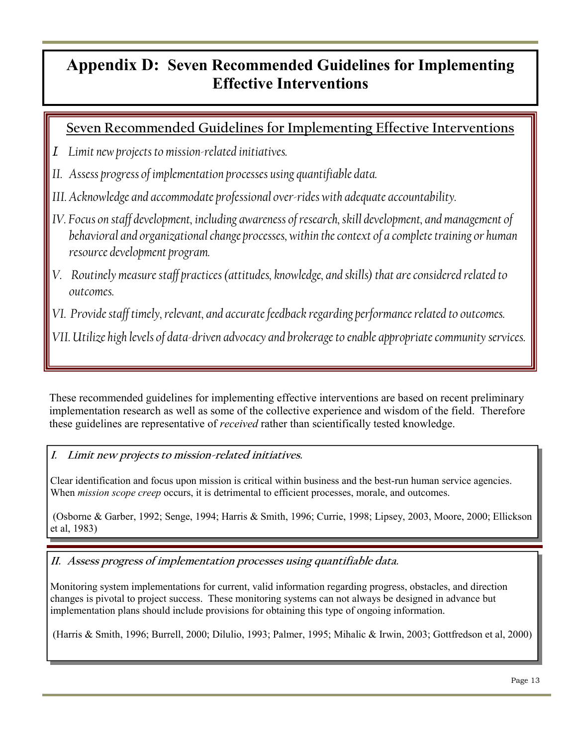### **Appendix D: Seven Recommended Guidelines for Implementing Effective Interventions**

### **Seven Recommended Guidelines for Implementing Effective Interventions**

- *I. Limit new projects to mission-related initiatives.*
- *II. Assess progress of implementation processes using quantifiable data.*
- *III. Acknowledge and accommodate professional over-rides with adequate accountability.*
- *IV. Focus on staff development, including awareness of research, skill development, and management of behavioral and organizational change processes, within the context of a complete training or human resource development program.*
- *V. Routinely measure staff practices (attitudes, knowledge, and skills) that are considered related to outcomes.*
- *VI. Provide staff timely, relevant, and accurate feedback regarding performance related to outcomes.*

*VII. Utilize high levels of data-driven advocacy and brokerage to enable appropriate community services.* 

These recommended guidelines for implementing effective interventions are based on recent preliminary implementation research as well as some of the collective experience and wisdom of the field. Therefore these guidelines are representative of *received* rather than scientifically tested knowledge.

### **I. Limit new projects to mission-related initiatives.**

Clear identification and focus upon mission is critical within business and the best-run human service agencies. When *mission scope creep* occurs, it is detrimental to efficient processes, morale, and outcomes.

 (Osborne & Garber, 1992; Senge, 1994; Harris & Smith, 1996; Currie, 1998; Lipsey, 2003, Moore, 2000; Ellickson et al, 1983)

**II. Assess progress of implementation processes using quantifiable data.** 

Monitoring system implementations for current, valid information regarding progress, obstacles, and direction changes is pivotal to project success. These monitoring systems can not always be designed in advance but implementation plans should include provisions for obtaining this type of ongoing information.

(Harris & Smith, 1996; Burrell, 2000; Dilulio, 1993; Palmer, 1995; Mihalic & Irwin, 2003; Gottfredson et al, 2000)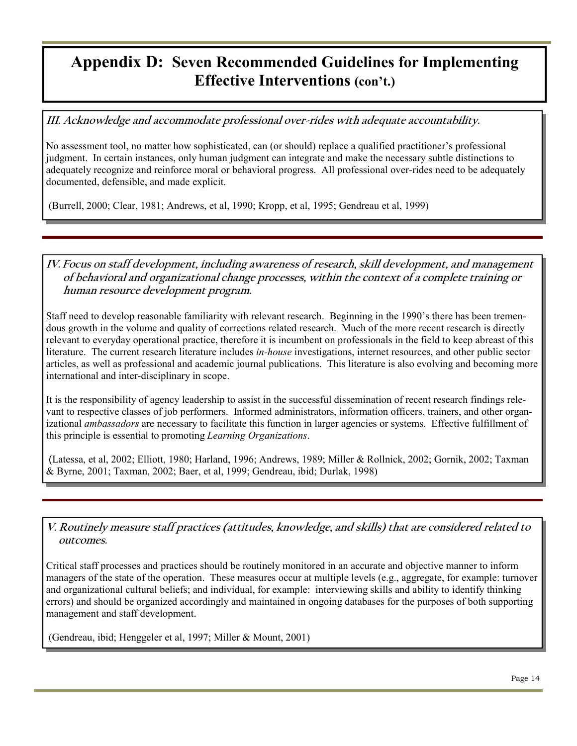### **Appendix D: Seven Recommended Guidelines for Implementing Effective Interventions (con't.)**

**III. Acknowledge and accommodate professional over-rides with adequate accountability.** 

No assessment tool, no matter how sophisticated, can (or should) replace a qualified practitioner's professional judgment. In certain instances, only human judgment can integrate and make the necessary subtle distinctions to adequately recognize and reinforce moral or behavioral progress. All professional over-rides need to be adequately documented, defensible, and made explicit.

(Burrell, 2000; Clear, 1981; Andrews, et al, 1990; Kropp, et al, 1995; Gendreau et al, 1999)

#### **IV. Focus on staff development, including awareness of research, skill development, and management of behavioral and organizational change processes, within the context of a complete training or human resource development program.**

Staff need to develop reasonable familiarity with relevant research. Beginning in the 1990's there has been tremendous growth in the volume and quality of corrections related research. Much of the more recent research is directly relevant to everyday operational practice, therefore it is incumbent on professionals in the field to keep abreast of this literature. The current research literature includes *in-house* investigations, internet resources, and other public sector articles, as well as professional and academic journal publications. This literature is also evolving and becoming more international and inter-disciplinary in scope.

It is the responsibility of agency leadership to assist in the successful dissemination of recent research findings relevant to respective classes of job performers. Informed administrators, information officers, trainers, and other organizational *ambassadors* are necessary to facilitate this function in larger agencies or systems. Effective fulfillment of this principle is essential to promoting *Learning Organizations*.

(Latessa, et al, 2002; Elliott, 1980; Harland, 1996; Andrews, 1989; Miller & Rollnick, 2002; Gornik, 2002; Taxman & Byrne, 2001; Taxman, 2002; Baer, et al, 1999; Gendreau, ibid; Durlak, 1998)

**V. Routinely measure staff practices (attitudes, knowledge, and skills) that are considered related to outcomes.** 

Critical staff processes and practices should be routinely monitored in an accurate and objective manner to inform managers of the state of the operation. These measures occur at multiple levels (e.g., aggregate, for example: turnover and organizational cultural beliefs; and individual, for example: interviewing skills and ability to identify thinking errors) and should be organized accordingly and maintained in ongoing databases for the purposes of both supporting management and staff development.

(Gendreau, ibid; Henggeler et al, 1997; Miller & Mount, 2001)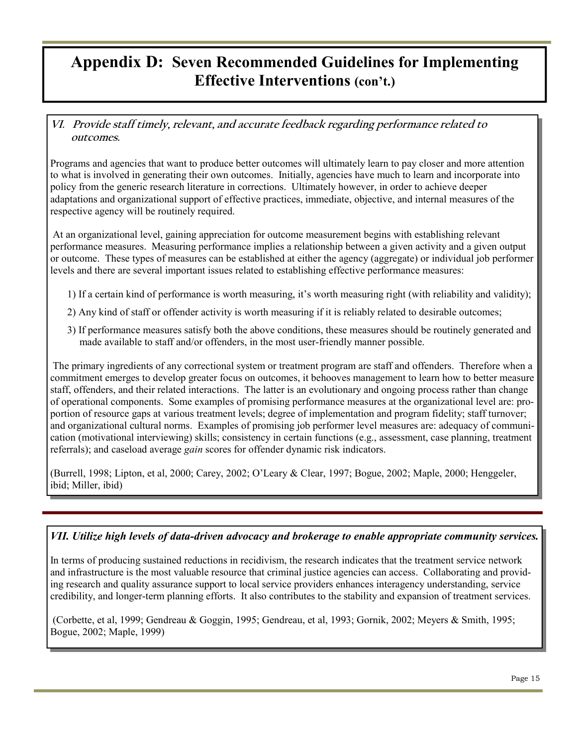### **Appendix D: Seven Recommended Guidelines for Implementing Effective Interventions (con't.)**

### **VI. Provide staff timely, relevant, and accurate feedback regarding performance related to outcomes.**

Programs and agencies that want to produce better outcomes will ultimately learn to pay closer and more attention to what is involved in generating their own outcomes. Initially, agencies have much to learn and incorporate into policy from the generic research literature in corrections. Ultimately however, in order to achieve deeper adaptations and organizational support of effective practices, immediate, objective, and internal measures of the respective agency will be routinely required.

 At an organizational level, gaining appreciation for outcome measurement begins with establishing relevant performance measures. Measuring performance implies a relationship between a given activity and a given output or outcome. These types of measures can be established at either the agency (aggregate) or individual job performer levels and there are several important issues related to establishing effective performance measures:

- 1) If a certain kind of performance is worth measuring, it's worth measuring right (with reliability and validity);
- 2) Any kind of staff or offender activity is worth measuring if it is reliably related to desirable outcomes;
- 3) If performance measures satisfy both the above conditions, these measures should be routinely generated and made available to staff and/or offenders, in the most user-friendly manner possible.

 The primary ingredients of any correctional system or treatment program are staff and offenders. Therefore when a commitment emerges to develop greater focus on outcomes, it behooves management to learn how to better measure staff, offenders, and their related interactions. The latter is an evolutionary and ongoing process rather than change of operational components. Some examples of promising performance measures at the organizational level are: proportion of resource gaps at various treatment levels; degree of implementation and program fidelity; staff turnover; and organizational cultural norms. Examples of promising job performer level measures are: adequacy of communication (motivational interviewing) skills; consistency in certain functions (e.g., assessment, case planning, treatment referrals); and caseload average *gain* scores for offender dynamic risk indicators.

(Burrell, 1998; Lipton, et al, 2000; Carey, 2002; O'Leary & Clear, 1997; Bogue, 2002; Maple, 2000; Henggeler, ibid; Miller, ibid)

### *VII. Utilize high levels of data-driven advocacy and brokerage to enable appropriate community services.*

In terms of producing sustained reductions in recidivism, the research indicates that the treatment service network and infrastructure is the most valuable resource that criminal justice agencies can access. Collaborating and providing research and quality assurance support to local service providers enhances interagency understanding, service credibility, and longer-term planning efforts. It also contributes to the stability and expansion of treatment services.

 (Corbette, et al, 1999; Gendreau & Goggin, 1995; Gendreau, et al, 1993; Gornik, 2002; Meyers & Smith, 1995; Bogue, 2002; Maple, 1999)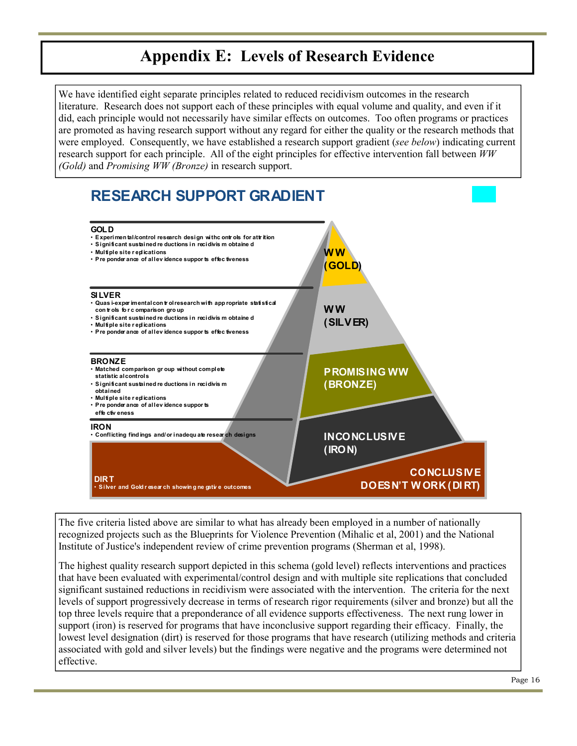### **Appendix E: Levels of Research Evidence**

We have identified eight separate principles related to reduced recidivism outcomes in the research literature. Research does not support each of these principles with equal volume and quality, and even if it did, each principle would not necessarily have similar effects on outcomes. Too often programs or practices are promoted as having research support without any regard for either the quality or the research methods that were employed. Consequently, we have established a research support gradient (*see below*) indicating current research support for each principle. All of the eight principles for effective intervention fall between *WW (Gold)* and *Promising WW (Bronze)* in research support.



The five criteria listed above are similar to what has already been employed in a number of nationally recognized projects such as the Blueprints for Violence Prevention (Mihalic et al, 2001) and the National Institute of Justice's independent review of crime prevention programs (Sherman et al, 1998).

The highest quality research support depicted in this schema (gold level) reflects interventions and practices that have been evaluated with experimental/control design and with multiple site replications that concluded significant sustained reductions in recidivism were associated with the intervention. The criteria for the next levels of support progressively decrease in terms of research rigor requirements (silver and bronze) but all the top three levels require that a preponderance of all evidence supports effectiveness. The next rung lower in support (iron) is reserved for programs that have inconclusive support regarding their efficacy. Finally, the lowest level designation (dirt) is reserved for those programs that have research (utilizing methods and criteria associated with gold and silver levels) but the findings were negative and the programs were determined not effective.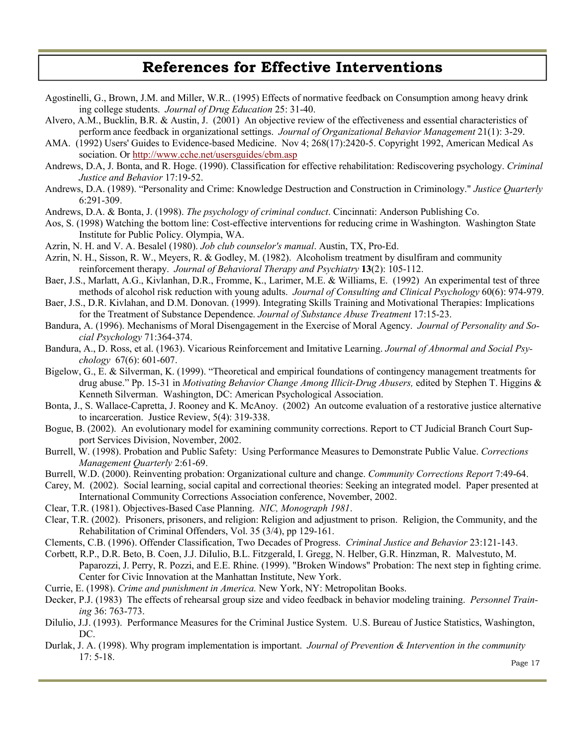### **References for Effective Interventions**

- Agostinelli, G., Brown, J.M. and Miller, W.R.. (1995) Effects of normative feedback on Consumption among heavy drink ing college students. *Journal of Drug Education* 25: 31-40.
- Alvero, A.M., Bucklin, B.R. & Austin, J. (2001) An objective review of the effectiveness and essential characteristics of perform ance feedback in organizational settings. *Journal of Organizational Behavior Management* 21(1): 3-29.
- AMA. (1992) Users' Guides to Evidence-based Medicine. Nov 4; 268(17):2420-5. Copyright 1992, American Medical As sociation. Or http://www.cche.net/usersguides/ebm.asp
- Andrews, D.A, J. Bonta, and R. Hoge. (1990). Classification for effective rehabilitation: Rediscovering psychology. *Criminal Justice and Behavior* 17:19-52.
- Andrews, D.A. (1989). "Personality and Crime: Knowledge Destruction and Construction in Criminology." *Justice Quarterly* 6:291-309.
- Andrews, D.A. & Bonta, J. (1998). *The psychology of criminal conduct*. Cincinnati: Anderson Publishing Co.
- Aos, S. (1998) Watching the bottom line: Cost-effective interventions for reducing crime in Washington. Washington State Institute for Public Policy. Olympia, WA.
- Azrin, N. H. and V. A. Besalel (1980). *Job club counselor's manual*. Austin, TX, Pro-Ed.
- Azrin, N. H., Sisson, R. W., Meyers, R. & Godley, M. (1982). Alcoholism treatment by disulfiram and community reinforcement therapy. *Journal of Behavioral Therapy and Psychiatry* **13**(2): 105-112.
- Baer, J.S., Marlatt, A.G., Kivlanhan, D.R., Fromme, K., Larimer, M.E. & Williams, E. (1992) An experimental test of three methods of alcohol risk reduction with young adults. *Journal of Consulting and Clinical Psychology* 60(6): 974-979.
- Baer, J.S., D.R. Kivlahan, and D.M. Donovan. (1999). Integrating Skills Training and Motivational Therapies: Implications for the Treatment of Substance Dependence. *Journal of Substance Abuse Treatment* 17:15-23.
- Bandura, A. (1996). Mechanisms of Moral Disengagement in the Exercise of Moral Agency. *Journal of Personality and Social Psychology* 71:364-374.
- Bandura, A., D. Ross, et al. (1963). Vicarious Reinforcement and Imitative Learning. *Journal of Abnormal and Social Psychology* 67(6): 601-607.
- Bigelow, G., E. & Silverman, K. (1999). "Theoretical and empirical foundations of contingency management treatments for drug abuse." Pp. 15-31 in *Motivating Behavior Change Among Illicit-Drug Abusers,* edited by Stephen T. Higgins & Kenneth Silverman. Washington, DC: American Psychological Association.
- Bonta, J., S. Wallace-Capretta, J. Rooney and K. McAnoy. (2002) An outcome evaluation of a restorative justice alternative to incarceration. Justice Review, 5(4): 319-338.
- Bogue, B. (2002). An evolutionary model for examining community corrections. Report to CT Judicial Branch Court Support Services Division, November, 2002.
- Burrell, W. (1998). Probation and Public Safety: Using Performance Measures to Demonstrate Public Value. *Corrections Management Quarterly* 2:61-69.
- Burrell, W.D. (2000). Reinventing probation: Organizational culture and change. *Community Corrections Report* 7:49-64.
- Carey, M. (2002). Social learning, social capital and correctional theories: Seeking an integrated model. Paper presented at International Community Corrections Association conference, November, 2002.
- Clear, T.R. (1981). Objectives-Based Case Planning. *NIC, Monograph 1981*.
- Clear, T.R. (2002). Prisoners, prisoners, and religion: Religion and adjustment to prison. Religion, the Community, and the Rehabilitation of Criminal Offenders, Vol. 35 (3/4), pp 129-161.
- Clements, C.B. (1996). Offender Classification, Two Decades of Progress. *Criminal Justice and Behavior* 23:121-143.
- Corbett, R.P., D.R. Beto, B. Coen, J.J. DiIulio, B.L. Fitzgerald, I. Gregg, N. Helber, G.R. Hinzman, R. Malvestuto, M. Paparozzi, J. Perry, R. Pozzi, and E.E. Rhine. (1999). "Broken Windows" Probation: The next step in fighting crime. Center for Civic Innovation at the Manhattan Institute, New York.
- Currie, E. (1998). *Crime and punishment in America.* New York, NY: Metropolitan Books.
- Decker, P.J. (1983) The effects of rehearsal group size and video feedback in behavior modeling training. *Personnel Training* 36: 763-773.
- Dilulio, J.J. (1993). Performance Measures for the Criminal Justice System. U.S. Bureau of Justice Statistics, Washington, DC.
- Durlak, J. A. (1998). Why program implementation is important. *Journal of Prevention & Intervention in the community* 17: 5-18.

Page 17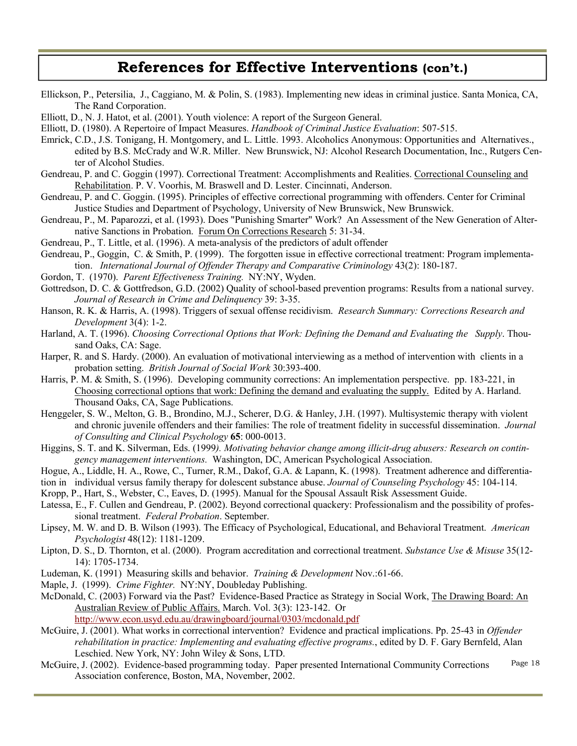### **References for Effective Interventions (con't.)**

- Ellickson, P., Petersilia, J., Caggiano, M. & Polin, S. (1983). Implementing new ideas in criminal justice. Santa Monica, CA, The Rand Corporation.
- Elliott, D., N. J. Hatot, et al. (2001). Youth violence: A report of the Surgeon General.
- Elliott, D. (1980). A Repertoire of Impact Measures. *Handbook of Criminal Justice Evaluation*: 507-515.
- Emrick, C.D., J.S. Tonigang, H. Montgomery, and L. Little. 1993. Alcoholics Anonymous: Opportunities and Alternatives., edited by B.S. McCrady and W.R. Miller. New Brunswick, NJ: Alcohol Research Documentation, Inc., Rutgers Center of Alcohol Studies.
- Gendreau, P. and C. Goggin (1997). Correctional Treatment: Accomplishments and Realities. Correctional Counseling and Rehabilitation. P. V. Voorhis, M. Braswell and D. Lester. Cincinnati, Anderson.
- Gendreau, P. and C. Goggin. (1995). Principles of effective correctional programming with offenders. Center for Criminal Justice Studies and Department of Psychology, University of New Brunswick, New Brunswick.
- Gendreau, P., M. Paparozzi, et al. (1993). Does "Punishing Smarter" Work? An Assessment of the New Generation of Alternative Sanctions in Probation. Forum On Corrections Research 5: 31-34.
- Gendreau, P., T. Little, et al. (1996). A meta-analysis of the predictors of adult offender
- Gendreau, P., Goggin, C. & Smith, P. (1999). The forgotten issue in effective correctional treatment: Program implementation. *International Journal of Offender Therapy and Comparative Criminology* 43(2): 180-187.
- Gordon, T. (1970). *Parent Effectiveness Training.* NY:NY, Wyden.
- Gottredson, D. C. & Gottfredson, G.D. (2002) Quality of school-based prevention programs: Results from a national survey. *Journal of Research in Crime and Delinquency* 39: 3-35.
- Hanson, R. K. & Harris, A. (1998). Triggers of sexual offense recidivism. *Research Summary: Corrections Research and Development* 3(4): 1-2.
- Harland, A. T. (1996). *Choosing Correctional Options that Work: Defining the Demand and Evaluating the Supply*. Thousand Oaks, CA: Sage.
- Harper, R. and S. Hardy. (2000). An evaluation of motivational interviewing as a method of intervention with clients in a probation setting. *British Journal of Social Work* 30:393-400.
- Harris, P. M. & Smith, S. (1996). Developing community corrections: An implementation perspective. pp. 183-221, in Choosing correctional options that work: Defining the demand and evaluating the supply. Edited by A. Harland. Thousand Oaks, CA, Sage Publications.
- Henggeler, S. W., Melton, G. B., Brondino, M.J., Scherer, D.G. & Hanley, J.H. (1997). Multisystemic therapy with violent and chronic juvenile offenders and their families: The role of treatment fidelity in successful dissemination. *Journal of Consulting and Clinical Psychology* **65**: 000-0013.
- Higgins, S. T. and K. Silverman, Eds. (1999*). Motivating behavior change among illicit-drug abusers: Research on contingency management interventions.* Washington, DC, American Psychological Association.
- Hogue, A., Liddle, H. A., Rowe, C., Turner, R.M., Dakof, G.A. & Lapann, K. (1998). Treatment adherence and differentia-
- tion in individual versus family therapy for dolescent substance abuse. *Journal of Counseling Psychology* 45: 104-114.
- Kropp, P., Hart, S., Webster, C., Eaves, D. (1995). Manual for the Spousal Assault Risk Assessment Guide.
- Latessa, E., F. Cullen and Gendreau, P. (2002). Beyond correctional quackery: Professionalism and the possibility of professional treatment. *Federal Probation*. September.
- Lipsey, M. W. and D. B. Wilson (1993). The Efficacy of Psychological, Educational, and Behavioral Treatment. *American Psychologist* 48(12): 1181-1209.
- Lipton, D. S., D. Thornton, et al. (2000). Program accreditation and correctional treatment. *Substance Use & Misuse* 35(12- 14): 1705-1734.
- Ludeman, K. (1991) Measuring skills and behavior. *Training & Development* Nov.:61-66.
- Maple, J. (1999). *Crime Fighter.* NY:NY, Doubleday Publishing.
- McDonald, C. (2003) Forward via the Past? Evidence-Based Practice as Strategy in Social Work, The Drawing Board: An Australian Review of Public Affairs. March. Vol. 3(3): 123-142. Or

http://www.econ.usyd.edu.au/drawingboard/journal/0303/mcdonald.pdf

- McGuire, J. (2001). What works in correctional intervention? Evidence and practical implications. Pp. 25-43 in *Offender rehabilitation in practice: Implementing and evaluating effective programs.*, edited by D. F. Gary Bernfeld, Alan Leschied. New York, NY: John Wiley & Sons, LTD.
- McGuire, J. (2002). Evidence-based programming today. Paper presented International Community Corrections Association conference, Boston, MA, November, 2002. Page 18